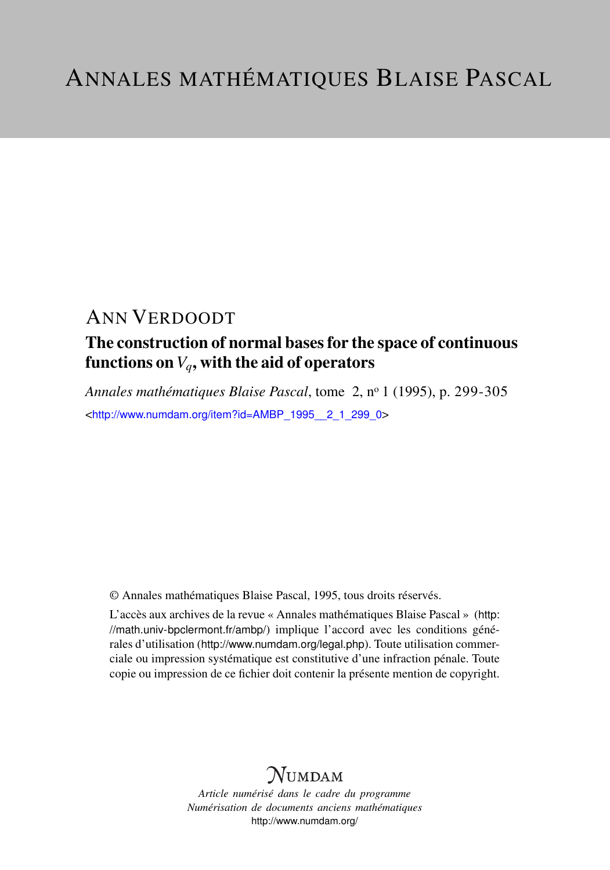# ANN VERDOODT

# The construction of normal bases for the space of continuous functions on  $V_q$ , with the aid of operators

*Annales mathématiques Blaise Pascal*, tome 2, n<sup>o</sup> 1 (1995), p. 299-305 <[http://www.numdam.org/item?id=AMBP\\_1995\\_\\_2\\_1\\_299\\_0](http://www.numdam.org/item?id=AMBP_1995__2_1_299_0)>

© Annales mathématiques Blaise Pascal, 1995, tous droits réservés.

L'accès aux archives de la revue « Annales mathématiques Blaise Pascal » ([http:](http://math.univ-bpclermont.fr/ambp/) [//math.univ-bpclermont.fr/ambp/](http://math.univ-bpclermont.fr/ambp/)) implique l'accord avec les conditions générales d'utilisation (<http://www.numdam.org/legal.php>). Toute utilisation commerciale ou impression systématique est constitutive d'une infraction pénale. Toute copie ou impression de ce fichier doit contenir la présente mention de copyright.

# **NUMDAM**

*Article numérisé dans le cadre du programme Numérisation de documents anciens mathématiques* <http://www.numdam.org/>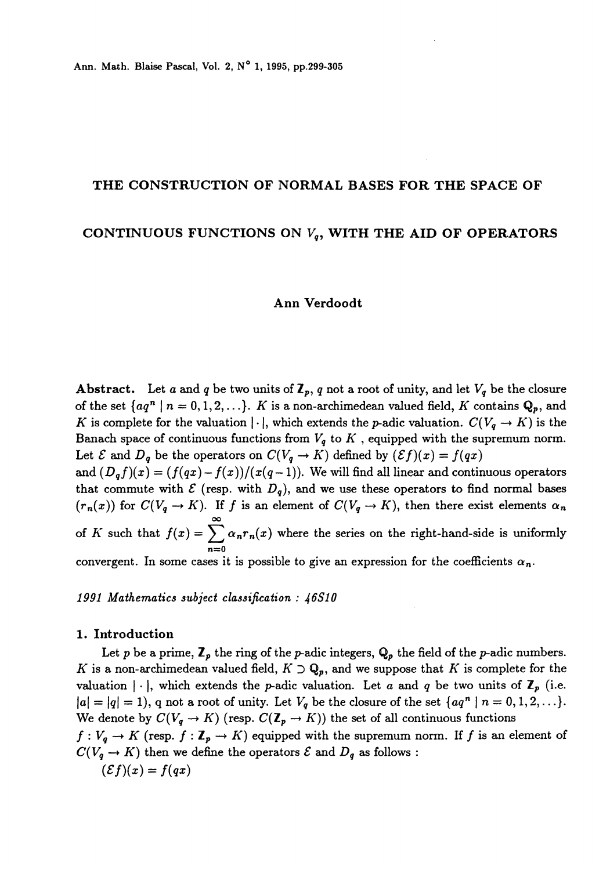## THE CONSTRUCTION OF NORMAL BASES FOR THE SPACE OF

## CONTINUOUS FUNCTIONS ON  $V_q$ , WITH THE AID OF OPERATORS

#### Ann Verdoodt

Abstract. Let a and q be two units of  $\mathbb{Z}_p$ , q not a root of unity, and let  $V_q$  be the closure of the set  $\{aq^n \mid n = 0, 1, 2, \ldots\}$ . K is a non-archimedean valued field, K contains  $\mathbb{Q}_p$ , and K is complete for the valuation  $|\cdot|$ , which extends the p-adic valuation.  $C(V_q \to K)$  is the Banach space of continuous functions from  $V_q$  to  $K$ , equipped with the supremum norm. Let  $\mathcal E$  and  $D_q$  be the operators on  $C(V_q \to K)$  defined by  $(\mathcal Ef)(x) = f(qx)$ 

and  $(D_qf)(x) = (f(qx) - f(x))/(x(q-1))$ . We will find all linear and continuous operators that commute with  $\mathcal E$  (resp. with  $D_q$ ), and we use these operators to find normal bases  $(r_n(x))$  for  $C(V_q \to K)$ . If f is an element of  $C(V_q \to K)$ , then there exist elements  $\alpha_n$  $\infty$ of K such that  $f(x) = \sum_{n=0} \alpha_n r_n(x)$  where the series on the right-hand-side is uniformly

convergent. In some cases it is possible to give an expression for the coefficients  $\alpha_n$ .

1991 Mathematics subject classification : 46S10

#### 1. Introduction

Let p be a prime,  $\mathbb{Z}_p$  the ring of the p-adic integers,  $\mathbf{Q}_p$  the field of the p-adic numbers. K is a non-archimedean valued field,  $K \supset \mathbf{Q}_p$ , and we suppose that K is complete for the valuation  $|\cdot|$ , which extends the *p*-adic valuation. Let a and q be two units of  $\mathbb{Z}_p$  (i.e.  $|a| = |q| = 1$ , q not a root of unity. Let  $V_q$  be the closure of the set  $\{aq^n \mid n = 0, 1, 2, \ldots\}$ . We denote by  $C(V_q \to K)$  (resp.  $C(\mathbb{Z}_p \to K)$ ) the set of all continuous functions  $f: V_q \to K$  (resp.  $f: \mathbb{Z}_p \to K$ ) equipped with the supremum norm. If f is an element of  $C(V_q \rightarrow K)$  then we define the operators  $\mathcal E$  and  $D_q$  as follows :

$$
(\mathcal{E}f)(x) = f(qx)
$$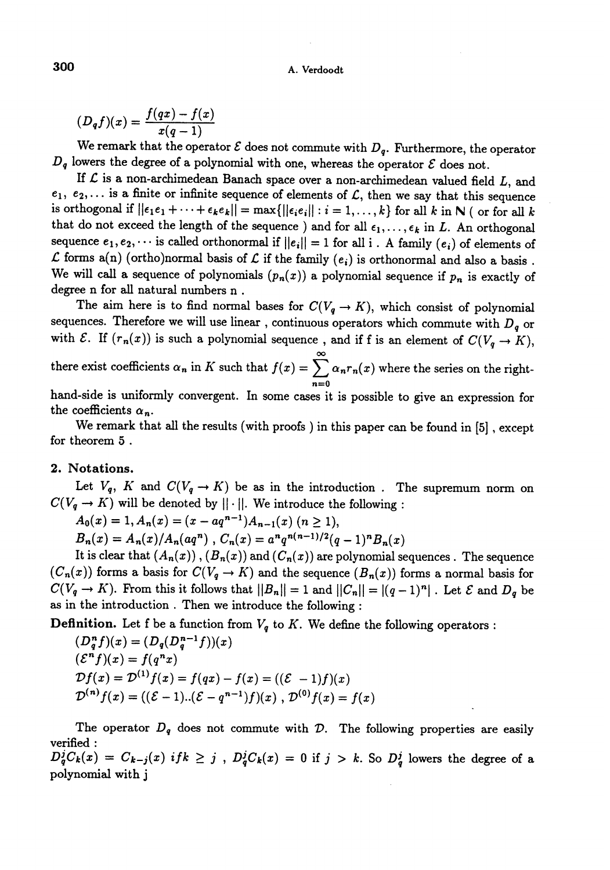#### A. Verdoodt

 $(D_q f)(x) = \frac{f(qx) - f(x)}{x(q-1)}$ 

We remark that the operator  $\mathcal E$  does not commute with  $D_q$ . Furthermore, the operator  $D_q$  lowers the degree of a polynomial with one, whereas the operator  $\mathcal E$  does not.

If  $\mathcal L$  is a non-archimedean Banach space over a non-archimedean valued field  $L$ , and  $e_1, e_2, \ldots$  is a finite or infinite sequence of elements of  $\mathcal L$ , then we say that this sequence is orthogonal if  $||\epsilon_1 \epsilon_1 + \cdots + \epsilon_k \epsilon_k|| = \max{||\epsilon_i \epsilon_i|| : i = 1, ..., k}$  for all k in N ( or for all k that do not exceed the length of the sequence ) and for all  $\epsilon_1, \ldots, \epsilon_k$  in L. An orthogonal sequence  $e_1, e_2, \cdots$  is called orthonormal if  $||e_i|| = 1$  for all i. A family  $(e_i)$  of elements of  $\mathcal L$  forms a(n) (ortho)normal basis of  $\mathcal L$  if the family  $(e_i)$  is orthonormal and also a basis. We will call a sequence of polynomials  $(p_n(x))$  a polynomial sequence if  $p_n$  is exactly of degree n for all natural numbers n .

The aim here is to find normal bases for  $C(V_q \to K)$ , which consist of polynomial sequences. Therefore we will use linear, continuous operators which commute with  $D_q$  or with  $\mathcal{E}$ . If  $(r_n(x))$  is such a polynomial sequence, and if f is an element of  $C(V_q \to K)$ , there exist coefficients  $\alpha_n$  in K such that  $f(x) = \sum_{n} \alpha_n r_n(x)$  where the series on the right-

 $n=0$ hand-side is uniformly convergent. In some cases it is possible to give an expression for the coefficients  $\alpha_n$ .

We remark that all the results (with proofs ) in this paper can be found in [5] , except for theorem 5 .

## 2. Notations.

Let  $V_q$ , K and  $C(V_q \to K)$  be as in the introduction. The supremum norm on  $C(V_q \rightarrow K)$  will be denoted by  $|| \cdot ||$ . We introduce the following :

 $A_0(x) = 1, A_n(x) = (x - aq^{n-1})A_{n-1}(x)$   $(n \ge 1),$ 

 $B_n(x) = A_n(x)/A_n(aq^n)$ ,  $C_n(x) = a^n q^{n(n-1)/2} (q-1)^n B_n(x)$ 

It is clear that  $(A_n(x))$ ,  $(B_n(x))$  and  $(C_n(x))$  are polynomial sequences. The sequence  $(C_n(x))$  forms a basis for  $C(V_q \to K)$  and the sequence  $(B_n(x))$  forms a normal basis for  $C(V_q \to K)$ . From this it follows that  $||B_n|| = 1$  and  $||C_n|| = |(q-1)^n|$ . Let  $\mathcal E$  and  $D_q$  be as in the introduction . Then we introduce the following :

**Definition.** Let f be a function from  $V_q$  to K. We define the following operators :

$$
(D_q^n f)(x) = (D_q(D_q^{n-1}f))(x)
$$
  
\n
$$
(\mathcal{E}^n f)(x) = f(q^n x)
$$
  
\n
$$
\mathcal{D}f(x) = \mathcal{D}^{(1)}f(x) = f(qx) - f(x) = ((\mathcal{E} - 1)f)(x)
$$
  
\n
$$
\mathcal{D}^{(n)}f(x) = ((\mathcal{E} - 1) \dots (\mathcal{E} - q^{n-1})f)(x), \mathcal{D}^{(0)}f(x) = f(x)
$$

The operator  $D_q$  does not commute with  $D$ . The following properties are easily verified :  $D_q^jC_k(x) = C_{k-j}(x)$  if  $k \geq j$ ,  $D_q^jC_k(x) = 0$  if  $j > k$ . So  $D_q^j$  lowers the degree of a polynomial with j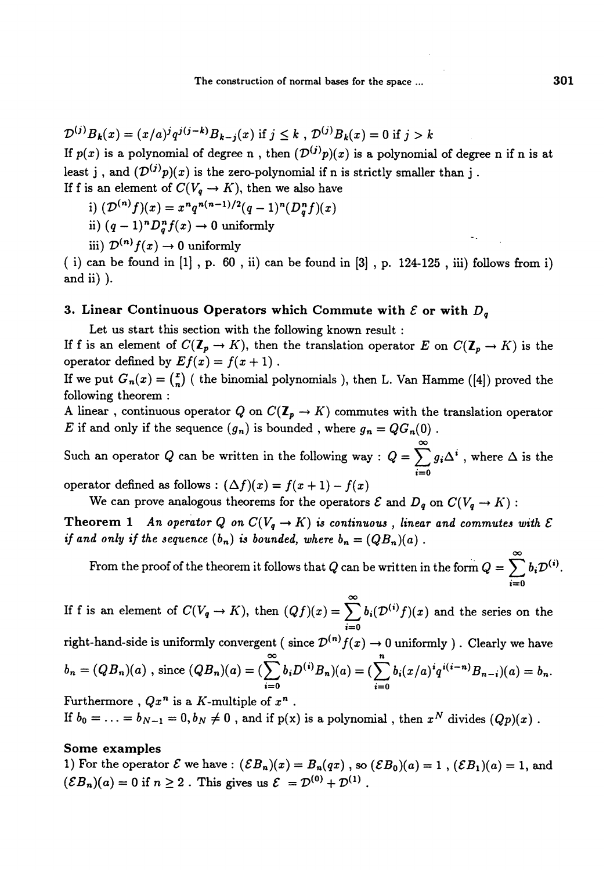$\mathcal{D}^{(j)}B_k(x) = (x/a)^{j}q^{j(j-k)}B_{k-j}(x)$  if  $j \leq k$ ,  $\mathcal{D}^{(j)}B_k(x) = 0$  if  $j > k$ 

If  $p(x)$  is a polynomial of degree n, then  $(\mathcal{D}^{(j)}p)(x)$  is a polynomial of degree n if n is at least j, and  $(\mathcal{D}^{(j)}p)(x)$  is the zero-polynomial if n is strictly smaller than j. If f is an element of  $C(V_q \rightarrow K)$ , then we also have

- i)  $(\mathcal{D}^{(n)}f)(x) = x^n q^{n(n-1)/2} (q-1)^n (D_n^n f)(x)$
- ii)  $(q-1)^n D_a^n f(x) \to 0$  uniformly
- iii)  $\mathcal{D}^{(n)}f(x)\to 0$  uniformly

( i) can be found in  $[1]$ , p. 60, ii) can be found in  $[3]$ , p. 124-125, iii) follows from i) and ii) ).

# 3. Linear Continuous Operators which Commute with  $\mathcal E$  or with  $D_q$

Let us start this section with the following known result :

If f is an element of  $C(\mathbb{Z}_p \to K)$ , then the translation operator E on  $C(\mathbb{Z}_p \to K)$  is the operator defined by  $Ef(x) = f(x + 1)$ .

If we put  $G_n(x) = {x \choose n}$  (the binomial polynomials), then L. Van Hamme ([4]) proved the following theorem :

A linear, continuous operator Q on  $C(\mathbb{Z}_p \to K)$  commutes with the translation operator E if and only if the sequence  $(g_n)$  is bounded, where  $g_n = QG_n(0)$ .

Such an operator Q can be written in the following way :  $Q = \sum_{i=0} g_i \Delta^i$ , where  $\Delta$  is the

operator defined as follows :  $(\Delta f)(x) = f(x + 1) - f(x)$ 

We can prove analogous theorems for the operators  $\mathcal E$  and  $D_q$  on  $C(V_q \to K)$ :

Theorem 1 An operator Q on  $C(V_q \rightarrow K)$  is continuous, linear and commutes with  $\mathcal E$ if and only if the sequence  $(b_n)$  is bounded, where  $b_n = (QB_n)(a)$ .

From the proof of the theorem it follows that  $Q$  can be written in the form  $Q = \sum_{i=0}^{\infty} b_i \mathcal{D}^{(i)}$ .

If f is an element of  $C(V_q \to K)$ , then  $(Qf)(x) = \sum_{i=0}^{\infty} b_i(\mathcal{D}^{(i)}f)(x)$  and the series on the !==0 right-hand-side is uniformly convergent (since  $\mathcal{D}^{(n)} f(x) \to 0$  uniformly ). Clearly we have

$$
b_n = (QB_n)(a) \text{ , since } (QB_n)(a) = (\sum_{i=0}^{\infty} b_i D^{(i)}B_n)(a) = (\sum_{i=0}^{n} b_i (x/a)^{i} q^{i(i-n)}B_{n-i})(a) = b_n.
$$

Furthermore ,  $Qx^n$  is a K-multiple of  $x^n$ . If  $b_0 = \ldots = b_{N-1} = 0, b_N \neq 0$ , and if  $p(x)$  is a polynomial, then  $x^N$  divides  $(Qp)(x)$ .

#### Some examples

1) For the operator  $\mathcal E$  we have :  $(\mathcal E B_n)(x) = B_n(qx)$  , so  $(\mathcal E B_0)(a) = 1$  ,  $(\mathcal E B_1)(a) = 1$ , and  $(\mathcal{E}B_n)(a) = 0$  if  $n \ge 2$ . This gives us  $\mathcal{E} = \mathcal{D}^{(0)} + \mathcal{D}^{(1)}$ .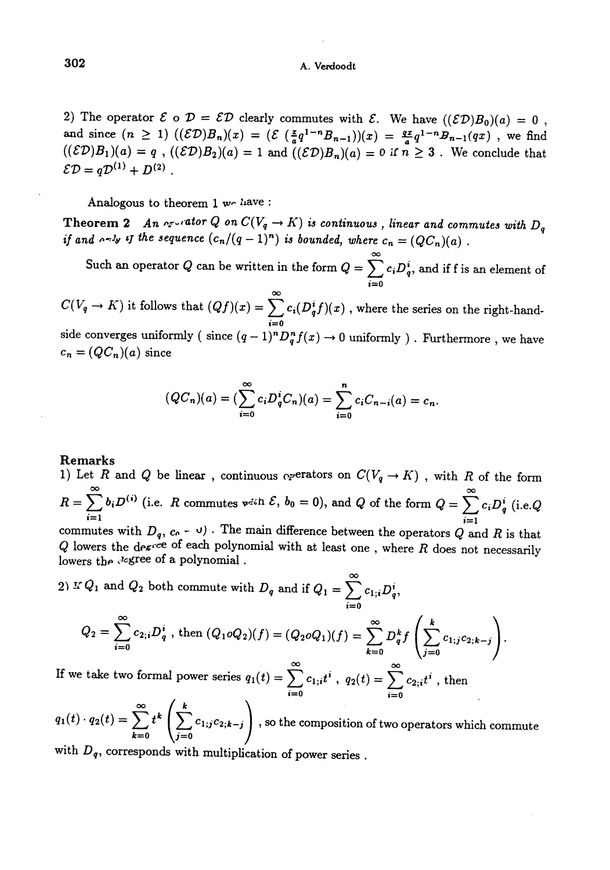2) The operator  $\mathcal{E} \circ \mathcal{D} = \mathcal{E} \mathcal{D}$  clearly commutes with  $\mathcal{E}$ . We have  $((\mathcal{E} \mathcal{D})B_0)(a) = 0$ , and since  $(n \ge 1)$   $((\mathcal{ED})B_n)(x) = (\mathcal{E} \left( \frac{x}{a} q^{1-n} B_{n-1} \right))(x) = \frac{qx}{a} q^{1-n} B_{n-1}(qx)$ , we find  $((\mathcal{ED})B_1)(a) = q$ ,  $((\mathcal{ED})B_2)(a) = 1$  and  $((\mathcal{ED})B_n)(a) = 0$  if  $n \geq 3$ . We conclude that  $\mathcal{ED} = q\mathcal{D}^{(1)} + D^{(2)}$ .

Analogous to theorem 1 we have :

Theorem 2 An  $\alpha$ -rator Q on  $C(V_q \to K)$  is continuous, linear and commutes with  $D_q$  if and  $\alpha$ -ly if the sequence  $(c_n/(q-1)^n)$  is bounded, where  $c_n = (QC_n)(a)$ .

Such an operator Q can be written in the form  $Q = \sum_{i=1}^{\infty} c_i D_q^i$ , and if f is an element of

 $C(V_q \rightarrow K)$  it follows that  $(Qf)(x) = \sum_{i=0}^{\infty} c_i(D_q^i f)(x)$  , where the series on the right-handside converges uniformly ( since  $(q-1)^n D_q^n f(x) \to 0$  uniformly ). Furthermore, we have  $c_n = (QC_n)(a)$  since

$$
(QC_n)(a) = \left(\sum_{i=0}^{\infty} c_i D_q^i C_n\right)(a) = \sum_{i=0}^n c_i C_{n-i}(a) = c_n.
$$

#### Remarks

1) Let R and Q be linear, continuous operators on  $C(V_q \to K)$ , with R of the form  $R = \sum_{i=1}^{\infty} b_i D^{(i)}$  (i.e. R commutes with  $\mathcal{E}, b_0 = 0$ ), and Q of the form  $Q = \sum_{i=1}^{\infty} c_i D_q^i$  (i.e.Q

commutes with  $D_q$ ,  $c_0 - \upsilon$ ). The main difference between the operators Q and R is that Q lowers the degree of each polynomial with at least one, where R does not necessarily lowers the degree of a polynomial.

2) If  $Q_1$  and  $Q_2$  both commute with  $D_q$  and if  $Q_1 = \sum_{i=1}^{\infty} c_{1,i} D_q^i$ ,

$$
Q_2 = \sum_{i=0}^{\infty} c_{2,i} D_q^i , \text{ then } (Q_1 \circ Q_2)(f) = (Q_2 \circ Q_1)(f) = \sum_{k=0}^{\infty} D_q^k f\left(\sum_{j=0}^k c_{1,j} c_{2,k-j}\right).
$$

If we take two formal power series  $q_1(t) = \sum_{i=1}^{\infty} c_{1,i}t^i$ ,  $q_2(t) = \sum_{i=1}^{\infty} c_{2,i}t^i$ , then

 $q_2(t) = \sum_{k=0}^{\infty} t^k \left( \sum_{i=0}^k c_{1,j} c_{2,k-j} \right)$ , so the composition of two operators which commute with  $D_q$ , corresponds with multiplication of power series.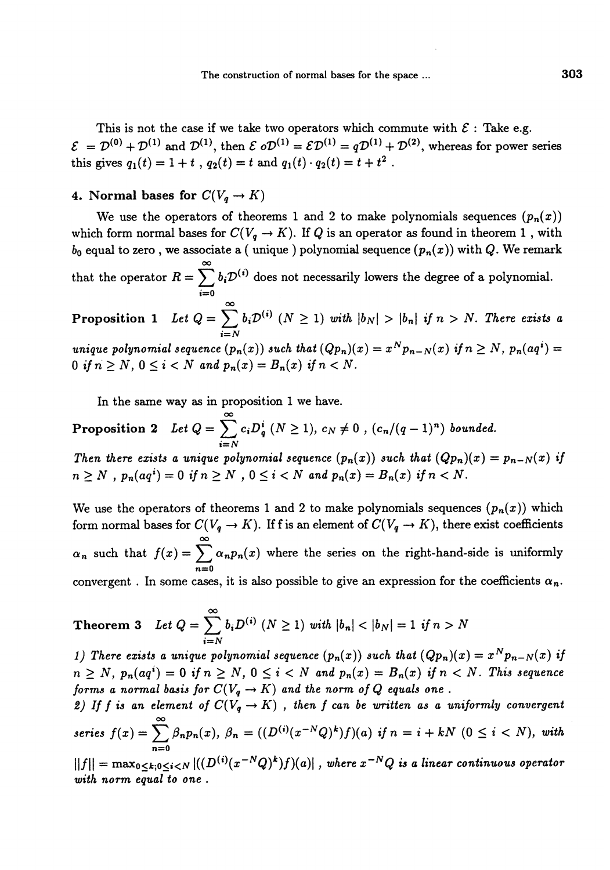This is not the case if we take two operators which commute with  $\mathcal{E}$ : Take e.g.  $\mathcal{E} = \mathcal{D}^{(0)} + \mathcal{D}^{(1)}$  and  $\mathcal{D}^{(1)}$ , then  $\mathcal{E} \circ \mathcal{D}^{(1)} = \mathcal{E} \mathcal{D}^{(1)} = q \mathcal{D}^{(1)} + \mathcal{D}^{(2)}$ , whereas for power series this gives  $q_1(t) = 1 + t$ ,  $q_2(t) = t$  and  $q_1(t) \cdot q_2(t) = t + t^2$ .

#### 4. Normal bases for  $C(V_q \rightarrow K)$

We use the operators of theorems 1 and 2 to make polynomials sequences  $(p_n(x))$ which form normal bases for  $C(V_q \rightarrow K)$ . If Q is an operator as found in theorem 1, with  $b_0$  equal to zero, we associate a (unique) polynomial sequence  $(p_n(x))$  with Q. We remark that the operator  $R = \sum_{i=0}^{\infty} b_i \mathcal{D}^{(i)}$  does not necessarily lowers the degree of a polynomial. **Proposition 1** Let  $Q = \sum_{i=0}^{\infty} b_i \mathcal{D}^{(i)}$   $(N \geq 1)$  with  $|b_N| > |b_n|$  if  $n > N$ . There exists a  $i=N$ unique polynomial sequence  $(p_n(x))$  such that  $(Qp_n)(x) = x^N p_{n-N}(x)$  if  $n \ge N$ ,  $p_n(aq^i) =$ 0 if  $n \geq N$ ,  $0 \leq i < N$  and  $p_n(x) = B_n(x)$  if  $n < N$ .

In the same way as in proposition 1 we have.

Proposition 2 Let  $Q = \sum_{i=0}^{\infty} c_i D_q^i$   $(N \ge 1)$ ,  $c_N \ne 0$  ,  $(c_n/(q-1)^n)$  bounded.  $i=N$ Then there exists a unique polynomial sequence  $(p_n(x))$  such that  $(Qp_n)(x) = p_{n-N}(x)$  if  $n \geq N$ ,  $p_n(aq^i) = 0$  if  $n \geq N$ ,  $0 \leq i < N$  and  $p_n(x) = B_n(x)$  if  $n < N$ .

We use the operators of theorems 1 and 2 to make polynomials sequences  $(p_n(x))$  which form normal bases for  $C(V_q \rightarrow K)$ . If f is an element of  $C(V_q \rightarrow K)$ , there exist coefficients  $\alpha_n$  such that  $f(x) = \sum_{n=0}^{\infty} \alpha_n p_n(x)$  where the series on the right-hand-side is uniformly convergent. In some cases, it is also possible to give an expression for the coefficients  $\alpha_n$ .

**Theorem 3** Let 
$$
Q = \sum_{i=N}^{\infty} b_i D^{(i)} \ (N \ge 1)
$$
 with  $|b_n| < |b_N| = 1$  if  $n > N$ 

1) There exists a unique polynomial sequence  $(p_n(x))$  such that  $(Qp_n)(x) = x^N p_{n-N}(x)$  if  $n \geq N$ ,  $p_n(aq^i) = 0$  if  $n \geq N$ ,  $0 \leq i < N$  and  $p_n(x) = B_n(x)$  if  $n < N$ . This sequence forms a normal basis for  $C(V_q \rightarrow K)$  and the norm of Q equals one.

2) If f is an element of  $C(V_q \rightarrow K)$ , then f can be written as a uniformly convergent series  $f(x) = \sum \beta_n p_n(x)$ ,  $\beta_n = ((D^{(i)}(x^{-N}Q)^k)f)(a)$  if  $n = i + kN$   $(0 \leq i < N)$ , with n=0

 $||f|| = \max_{0 \le k; 0 \le i \le N} |((D^{(i)}(x^{-N}Q)^k)f)(a)|$ , where  $x^{-N}Q$  is a linear continuous operator with norm equal to one.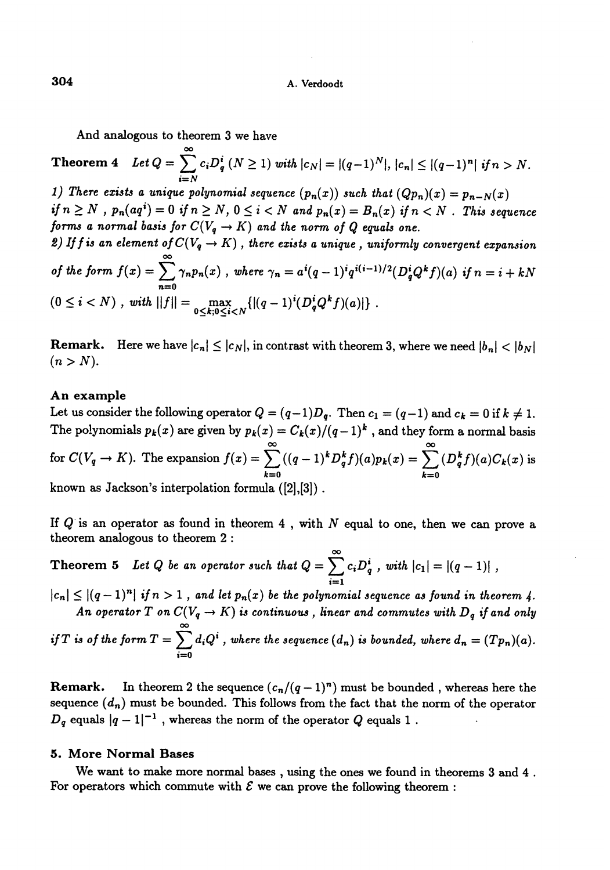And analogous to theorem 3 we have

Theorem 4  $Let Q = \sum_{i=N}^{\infty} c_i D_q^i (N \ge 1) \ with \ |c_N| = |(q-1)^N|, \ |c_n| \le |(q-1)^n| \ if n > N.$ 1) There exists a unique polynomial sequence  $(p_n(x))$  such that  $(Qp_n)(x) = p_{n-N}(x)$ if  $n \ge N$ ,  $p_n(aq^i) = 0$  if  $n \ge N$ ,  $0 \le i < N$  and  $p_n(x) = B_n(x)$  if  $n < N$ . This sequence forms a normal basis for  $C(V_q \rightarrow K)$  and the norm of Q equals one. 2) If f is an element of  $C(V_q \rightarrow K)$ , there exists a unique, uniformly convergent expansion of the form  $f(x) = \sum_{n=0} \gamma_n p_n(x)$ , where  $\gamma_n = a^i (q-1)^i q^{i(i-1)/2} (D_q^i Q^k f)(a)$  if  $n = i + kN$ 

$$
(0 \leq i < N), \text{ with } ||f|| = \max_{0 \leq k; 0 \leq i < N} \{ |(q-1)^i (D_q^i Q^k f)(a)| \}.
$$

**Remark.** Here we have  $|c_n| \leq |c_N|$ , in contrast with theorem 3, where we need  $|b_n| < |b_N|$  $(n > N).$ 

#### An example

Let us consider the following operator  $Q = (q-1)D_q$ . Then  $c_1 = (q-1)$  and  $c_k = 0$  if  $k \neq 1$ . The polynomials  $p_k(x)$  are given by  $p_k(x) = C_k(x)/(q-1)^k$ , and they form a normal basis for  $C(V_q \to K)$ . The expansion  $f(x) = \sum_{k=0}^{n} ((q-1)^k D_q^k f)(a) p_k(x) = \sum_{k=0}^{n} (D_q^k f)(a) C_k(x)$  is known as Jackson's interpolation formula  $([2], [3])$ .

If  $Q$  is an operator as found in theorem 4, with N equal to one, then we can prove a theorem analogous to theorem 2 :

**Theorem 5** Let Q be an operator such that  $Q = \sum_{i=1}^{\infty} c_i D_q^i$ , with  $|c_1| = |(q-1)|$ , i=1

 $|c_n| \leq |(q-1)^n|$  if  $n > 1$ , and let  $p_n(x)$  be the polynomial sequence as found in theorem 4. An operator T on  $C(V_q \rightarrow K)$  is continuous, linear and commutes with  $D_q$  if and only

if T is of the form 
$$
T = \sum_{i=0}^{\infty} d_i Q^i
$$
, where the sequence  $(d_n)$  is bounded, where  $d_n = (Tp_n)(a)$ .

**Remark.** In theorem 2 the sequence  $(c_n/(q-1)^n)$  must be bounded, whereas here the sequence  $(d_n)$  must be bounded. This follows from the fact that the norm of the operator **Hemark.** In theorem 2 the sequence  $(c_n/(q-1)$ ") must be bounded, where<br>sequence  $(d_n)$  must be bounded. This follows from the fact that the norm of the<br> $D_q$  equals  $|q-1|^{-1}$ , whereas the norm of the operator Q equals 1.

## 5. More Normal Bases

We want to make more normal bases, using the ones we found in theorems 3 and 4 . For operators which commute with  $\mathcal E$  we can prove the following theorem :